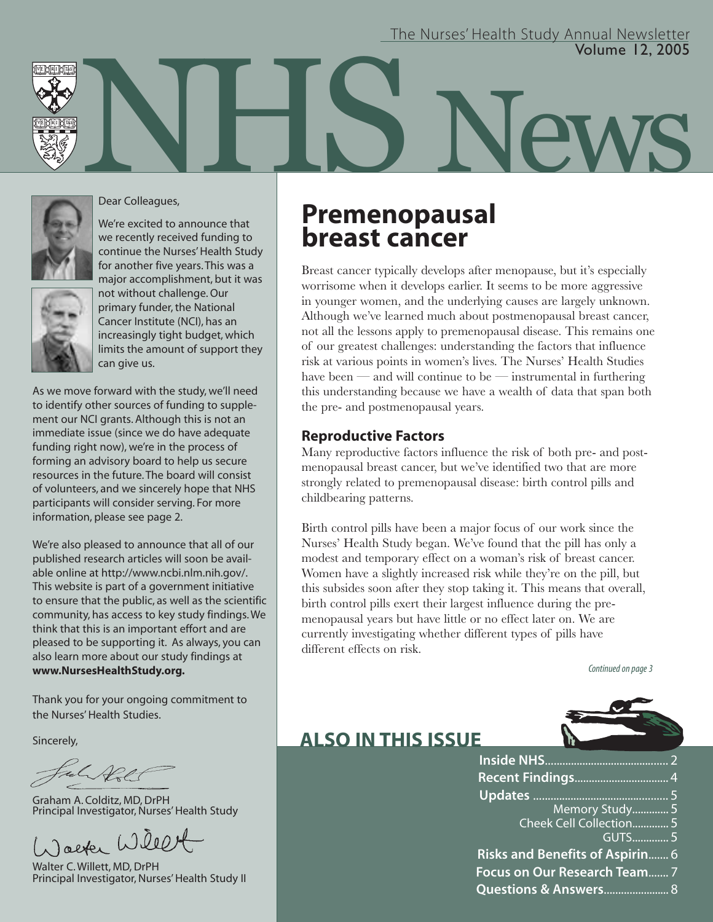### Volume 12, 2005 The Nurses' Health Study Annual Newsletter

News





We're excited to announce that we recently received funding to continue the Nurses' Health Study for another five years. This was a major accomplishment, but it was not without challenge. Our primary funder, the National Cancer Institute (NCI), has an increasingly tight budget, which limits the amount of support they can give us.

As we move forward with the study, we'll need to identify other sources of funding to supplement our NCI grants. Although this is not an immediate issue (since we do have adequate funding right now), we're in the process of forming an advisory board to help us secure resources in the future. The board will consist of volunteers, and we sincerely hope that NHS participants will consider serving. For more information, please see page 2.

We're also pleased to announce that all of our published research articles will soon be available online at http://www.ncbi.nlm.nih.gov/. This website is part of a government initiative to ensure that the public, as well as the scientific community, has access to key study findings. We think that this is an important effort and are pleased to be supporting it. As always, you can also learn more about our study findings at **www.NursesHealthStudy.org.**

Thank you for your ongoing commitment to the Nurses' Health Studies.

Sincerely,

Ful De

Graham A. Colditz, MD, DrPH Principal Investigator, Nurses' Health Study

Jacker Willet

Walter C. Willett, MD, DrPH Principal Investigator, Nurses' Health Study II

## **Premenopausal breast cancer**

Breast cancer typically develops after menopause, but it's especially worrisome when it develops earlier. It seems to be more aggressive in younger women, and the underlying causes are largely unknown. Although we've learned much about postmenopausal breast cancer, not all the lessons apply to premenopausal disease. This remains one of our greatest challenges: understanding the factors that influence risk at various points in women's lives. The Nurses' Health Studies have been — and will continue to be — instrumental in furthering this understanding because we have a wealth of data that span both the pre- and postmenopausal years.

## **Reproductive Factors**

Many reproductive factors influence the risk of both pre- and postmenopausal breast cancer, but we've identified two that are more strongly related to premenopausal disease: birth control pills and childbearing patterns.

Birth control pills have been a major focus of our work since the Nurses' Health Study began. We've found that the pill has only a modest and temporary effect on a woman's risk of breast cancer. Women have a slightly increased risk while they're on the pill, but this subsides soon after they stop taking it. This means that overall, birth control pills exert their largest influence during the premenopausal years but have little or no effect later on. We are currently investigating whether different types of pills have different effects on risk.

Continued on page 3



## **ALSO IN THIS ISSUE**

**Inside NHS**........................................... 2 **Recent Findings**................................. 4 **Updates** ............................................... 5 Memory Study............. 5 Cheek Cell Collection............. 5 GUTS............. 5 **Risks and Benefits of Aspirin**....... 6 **Focus on Our Research Team**....... 7 **Questions & Answers**....................... 8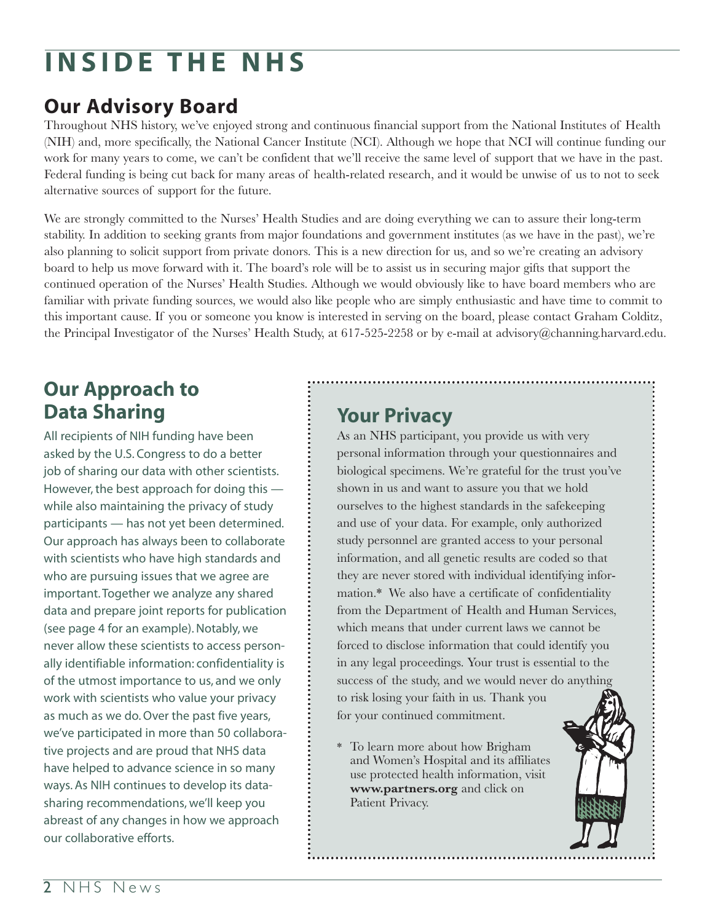# **INSIDE THE NHS**

## **Our Advisory Board**

Throughout NHS history, we've enjoyed strong and continuous financial support from the National Institutes of Health (NIH) and, more specifically, the National Cancer Institute (NCI). Although we hope that NCI will continue funding our work for many years to come, we can't be confident that we'll receive the same level of support that we have in the past. Federal funding is being cut back for many areas of health-related research, and it would be unwise of us to not to seek alternative sources of support for the future.

We are strongly committed to the Nurses' Health Studies and are doing everything we can to assure their long-term stability. In addition to seeking grants from major foundations and government institutes (as we have in the past), we're also planning to solicit support from private donors. This is a new direction for us, and so we're creating an advisory board to help us move forward with it. The board's role will be to assist us in securing major gifts that support the continued operation of the Nurses' Health Studies. Although we would obviously like to have board members who are familiar with private funding sources, we would also like people who are simply enthusiastic and have time to commit to this important cause. If you or someone you know is interested in serving on the board, please contact Graham Colditz, the Principal Investigator of the Nurses' Health Study, at 617-525-2258 or by e-mail at advisory@channing.harvard.edu.

## **Our Approach to Data Sharing**

All recipients of NIH funding have been asked by the U.S. Congress to do a better job of sharing our data with other scientists. However, the best approach for doing this while also maintaining the privacy of study participants — has not yet been determined. Our approach has always been to collaborate with scientists who have high standards and who are pursuing issues that we agree are important. Together we analyze any shared data and prepare joint reports for publication (see page 4 for an example). Notably, we never allow these scientists to access personally identifiable information: confidentiality is of the utmost importance to us, and we only work with scientists who value your privacy as much as we do. Over the past five years, we've participated in more than 50 collaborative projects and are proud that NHS data have helped to advance science in so many ways. As NIH continues to develop its datasharing recommendations, we'll keep you abreast of any changes in how we approach our collaborative efforts.

## **Your Privacy**

As an NHS participant, you provide us with very personal information through your questionnaires and biological specimens. We're grateful for the trust you've shown in us and want to assure you that we hold ourselves to the highest standards in the safekeeping and use of your data. For example, only authorized study personnel are granted access to your personal information, and all genetic results are coded so that they are never stored with individual identifying information.\* We also have a certificate of confidentiality from the Department of Health and Human Services, which means that under current laws we cannot be forced to disclose information that could identify you in any legal proceedings. Your trust is essential to the success of the study, and we would never do anything to risk losing your faith in us. Thank you for your continued commitment.

\* To learn more about how Brigham and Women's Hospital and its affiliates use protected health information, visit **www.partners.org** and click on Patient Privacy.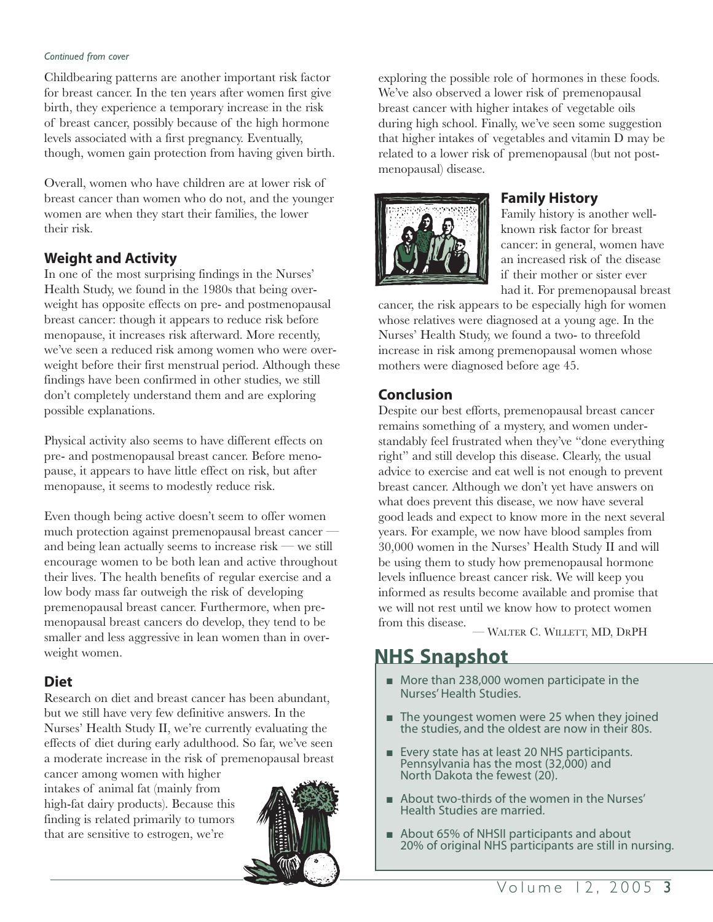#### *Continued from cover*

Childbearing patterns are another important risk factor for breast cancer. In the ten years after women first give birth, they experience a temporary increase in the risk of breast cancer, possibly because of the high hormone levels associated with a first pregnancy. Eventually, though, women gain protection from having given birth.

Overall, women who have children are at lower risk of breast cancer than women who do not, and the younger women are when they start their families, the lower their risk.

## **Weight and Activity**

In one of the most surprising findings in the Nurses' Health Study, we found in the 1980s that being overweight has opposite effects on pre- and postmenopausal breast cancer: though it appears to reduce risk before menopause, it increases risk afterward. More recently, we've seen a reduced risk among women who were overweight before their first menstrual period. Although these findings have been confirmed in other studies, we still don't completely understand them and are exploring possible explanations.

Physical activity also seems to have different effects on pre- and postmenopausal breast cancer. Before menopause, it appears to have little effect on risk, but after menopause, it seems to modestly reduce risk.

Even though being active doesn't seem to offer women much protection against premenopausal breast cancer and being lean actually seems to increase risk — we still encourage women to be both lean and active throughout their lives. The health benefits of regular exercise and a low body mass far outweigh the risk of developing premenopausal breast cancer. Furthermore, when premenopausal breast cancers do develop, they tend to be smaller and less aggressive in lean women than in overweight women.

### **Diet**

Research on diet and breast cancer has been abundant, but we still have very few definitive answers. In the Nurses' Health Study II, we're currently evaluating the effects of diet during early adulthood. So far, we've seen a moderate increase in the risk of premenopausal breast

cancer among women with higher intakes of animal fat (mainly from high-fat dairy products). Because this finding is related primarily to tumors that are sensitive to estrogen, we're



exploring the possible role of hormones in these foods. We've also observed a lower risk of premenopausal breast cancer with higher intakes of vegetable oils during high school. Finally, we've seen some suggestion that higher intakes of vegetables and vitamin D may be related to a lower risk of premenopausal (but not postmenopausal) disease.



### **Family History**

Family history is another wellknown risk factor for breast cancer: in general, women have an increased risk of the disease if their mother or sister ever had it. For premenopausal breast

cancer, the risk appears to be especially high for women whose relatives were diagnosed at a young age. In the Nurses' Health Study, we found a two- to threefold increase in risk among premenopausal women whose mothers were diagnosed before age 45.

## **Conclusion**

Despite our best efforts, premenopausal breast cancer remains something of a mystery, and women understandably feel frustrated when they've "done everything right" and still develop this disease. Clearly, the usual advice to exercise and eat well is not enough to prevent breast cancer. Although we don't yet have answers on what does prevent this disease, we now have several good leads and expect to know more in the next several years. For example, we now have blood samples from 30,000 women in the Nurses' Health Study II and will be using them to study how premenopausal hormone levels influence breast cancer risk. We will keep you informed as results become available and promise that we will not rest until we know how to protect women from this disease.

— WALTER C. WILLETT, MD, DRPH

## **NHS Snapshot**

- More than 238,000 women participate in the Nurses' Health Studies.
- The youngest women were 25 when they joined the studies, and the oldest are now in their 80s.
- **■** Every state has at least 20 NHS participants. Pennsylvania has the most (32,000) and North Dakota the fewest (20).
- **■** About two-thirds of the women in the Nurses' Health Studies are married.
- About 65% of NHSII participants and about 20% of original NHS participants are still in nursing.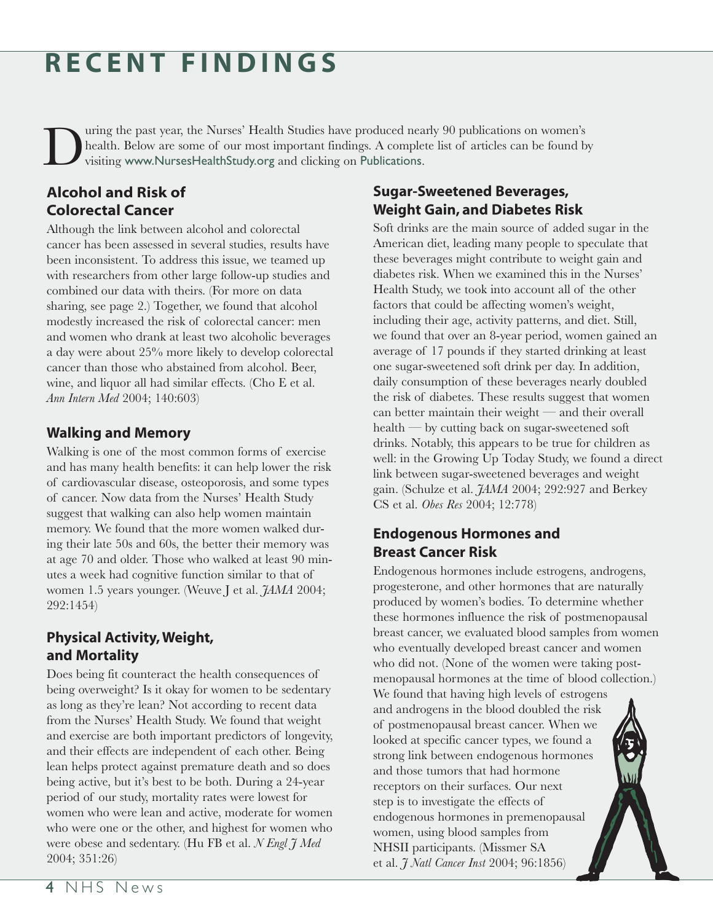# **RECENT FINDINGS**

uring the past year, the Nurses' Health Studies have produced nearly 90 publications on women's health. Below are some of our most important findings. A complete list of articles can be found by visiting www.NursesHealthStudy.org and clicking on Publications.

## **Alcohol and Risk of Colorectal Cancer**

Although the link between alcohol and colorectal cancer has been assessed in several studies, results have been inconsistent. To address this issue, we teamed up with researchers from other large follow-up studies and combined our data with theirs. (For more on data sharing, see page 2.) Together, we found that alcohol modestly increased the risk of colorectal cancer: men and women who drank at least two alcoholic beverages a day were about 25% more likely to develop colorectal cancer than those who abstained from alcohol. Beer, wine, and liquor all had similar effects. (Cho E et al. *Ann Intern Med* 2004; 140:603)

## **Walking and Memory**

Walking is one of the most common forms of exercise and has many health benefits: it can help lower the risk of cardiovascular disease, osteoporosis, and some types of cancer. Now data from the Nurses' Health Study suggest that walking can also help women maintain memory. We found that the more women walked during their late 50s and 60s, the better their memory was at age 70 and older. Those who walked at least 90 minutes a week had cognitive function similar to that of women 1.5 years younger. (Weuve J et al. *JAMA* 2004; 292:1454)

## **Physical Activity, Weight, and Mortality**

Does being fit counteract the health consequences of being overweight? Is it okay for women to be sedentary as long as they're lean? Not according to recent data from the Nurses' Health Study. We found that weight and exercise are both important predictors of longevity, and their effects are independent of each other. Being lean helps protect against premature death and so does being active, but it's best to be both. During a 24-year period of our study, mortality rates were lowest for women who were lean and active, moderate for women who were one or the other, and highest for women who were obese and sedentary. (Hu FB et al. *N Engl J Med* 2004; 351:26)

## **Sugar-Sweetened Beverages, Weight Gain, and Diabetes Risk**

Soft drinks are the main source of added sugar in the American diet, leading many people to speculate that these beverages might contribute to weight gain and diabetes risk. When we examined this in the Nurses' Health Study, we took into account all of the other factors that could be affecting women's weight, including their age, activity patterns, and diet. Still, we found that over an 8-year period, women gained an average of 17 pounds if they started drinking at least one sugar-sweetened soft drink per day. In addition, daily consumption of these beverages nearly doubled the risk of diabetes. These results suggest that women can better maintain their weight — and their overall health — by cutting back on sugar-sweetened soft drinks. Notably, this appears to be true for children as well: in the Growing Up Today Study, we found a direct link between sugar-sweetened beverages and weight gain. (Schulze et al. *JAMA* 2004; 292:927 and Berkey CS et al. *Obes Res* 2004; 12:778)

## **Endogenous Hormones and Breast Cancer Risk**

Endogenous hormones include estrogens, androgens, progesterone, and other hormones that are naturally produced by women's bodies. To determine whether these hormones influence the risk of postmenopausal breast cancer, we evaluated blood samples from women who eventually developed breast cancer and women who did not. (None of the women were taking postmenopausal hormones at the time of blood collection.) We found that having high levels of estrogens and androgens in the blood doubled the risk of postmenopausal breast cancer. When we looked at specific cancer types, we found a strong link between endogenous hormones and those tumors that had hormone receptors on their surfaces. Our next step is to investigate the effects of endogenous hormones in premenopausal women, using blood samples from NHSII participants. (Missmer SA et al. *J Natl Cancer Inst* 2004; 96:1856)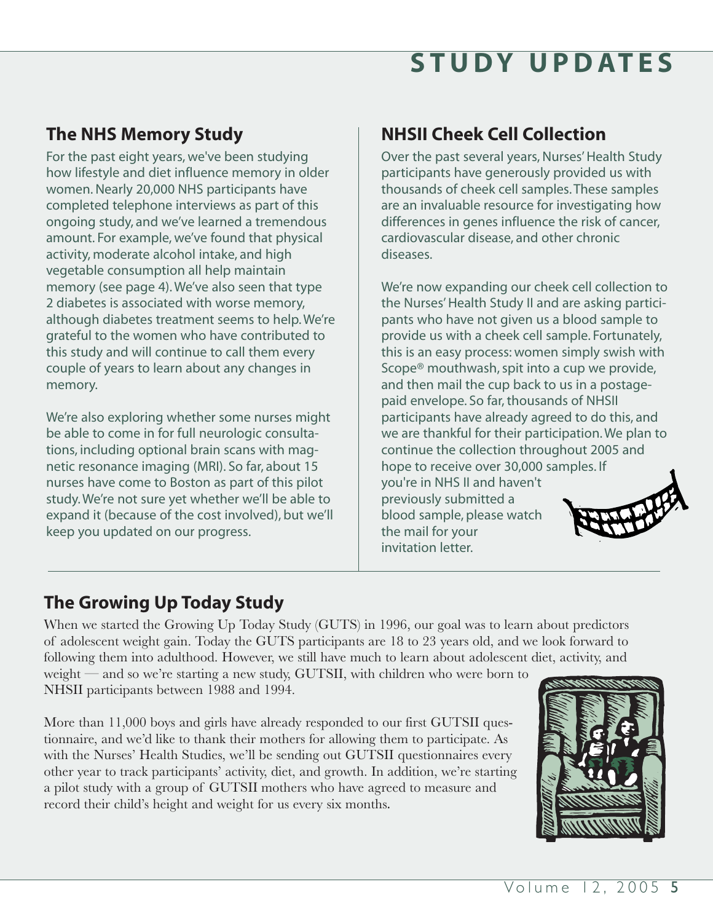# **STUDY UPDATES**

## **The NHS Memory Study**

For the past eight years, we've been studying how lifestyle and diet influence memory in older women. Nearly 20,000 NHS participants have completed telephone interviews as part of this ongoing study, and we've learned a tremendous amount. For example, we've found that physical activity, moderate alcohol intake, and high vegetable consumption all help maintain memory (see page 4). We've also seen that type 2 diabetes is associated with worse memory, although diabetes treatment seems to help. We're grateful to the women who have contributed to this study and will continue to call them every couple of years to learn about any changes in memory.

We're also exploring whether some nurses might be able to come in for full neurologic consultations, including optional brain scans with magnetic resonance imaging (MRI). So far, about 15 nurses have come to Boston as part of this pilot study. We're not sure yet whether we'll be able to expand it (because of the cost involved), but we'll keep you updated on our progress.

## **NHSII Cheek Cell Collection**

Over the past several years, Nurses' Health Study participants have generously provided us with thousands of cheek cell samples. These samples are an invaluable resource for investigating how differences in genes influence the risk of cancer, cardiovascular disease, and other chronic diseases.

We're now expanding our cheek cell collection to the Nurses' Health Study II and are asking participants who have not given us a blood sample to provide us with a cheek cell sample. Fortunately, this is an easy process: women simply swish with Scope® mouthwash, spit into a cup we provide, and then mail the cup back to us in a postagepaid envelope. So far, thousands of NHSII participants have already agreed to do this, and we are thankful for their participation. We plan to continue the collection throughout 2005 and hope to receive over 30,000 samples. If you're in NHS II and haven't previously submitted a blood sample, please watch the mail for your invitation letter.

## **The Growing Up Today Study**

When we started the Growing Up Today Study (GUTS) in 1996, our goal was to learn about predictors of adolescent weight gain. Today the GUTS participants are 18 to 23 years old, and we look forward to following them into adulthood. However, we still have much to learn about adolescent diet, activity, and weight — and so we're starting a new study, GUTSII, with children who were born to

NHSII participants between 1988 and 1994.

More than 11,000 boys and girls have already responded to our first GUTSII questionnaire, and we'd like to thank their mothers for allowing them to participate. As with the Nurses' Health Studies, we'll be sending out GUTSII questionnaires every other year to track participants' activity, diet, and growth. In addition, we're starting a pilot study with a group of GUTSII mothers who have agreed to measure and record their child's height and weight for us every six months.

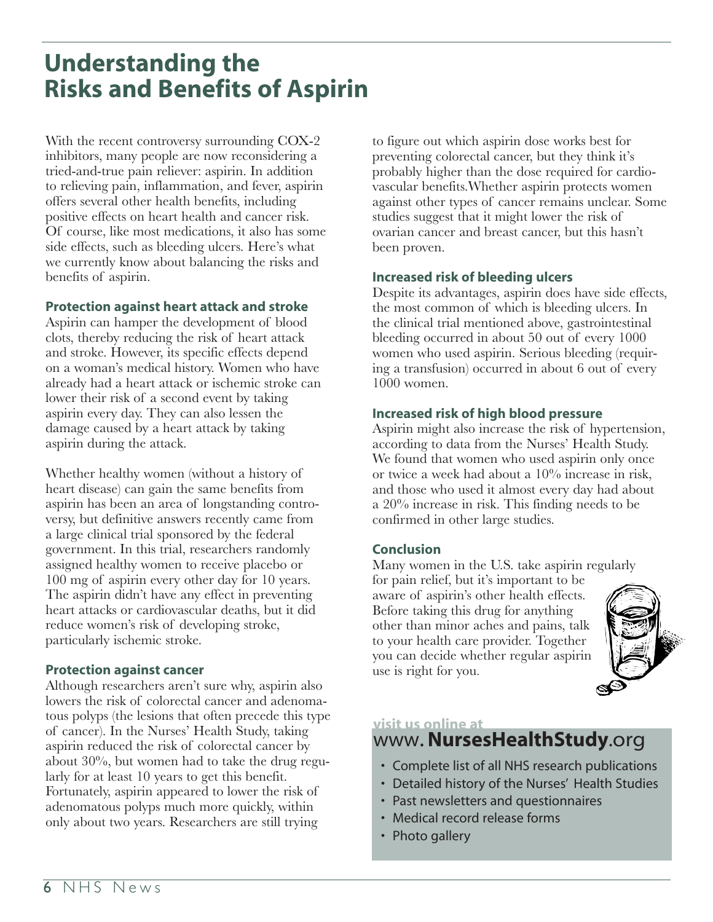## **Understanding the Risks and Benefits of Aspirin**

With the recent controversy surrounding COX-2 inhibitors, many people are now reconsidering a tried-and-true pain reliever: aspirin. In addition to relieving pain, inflammation, and fever, aspirin offers several other health benefits, including positive effects on heart health and cancer risk. Of course, like most medications, it also has some side effects, such as bleeding ulcers. Here's what we currently know about balancing the risks and benefits of aspirin.

#### **Protection against heart attack and stroke**

Aspirin can hamper the development of blood clots, thereby reducing the risk of heart attack and stroke. However, its specific effects depend on a woman's medical history. Women who have already had a heart attack or ischemic stroke can lower their risk of a second event by taking aspirin every day. They can also lessen the damage caused by a heart attack by taking aspirin during the attack.

Whether healthy women (without a history of heart disease) can gain the same benefits from aspirin has been an area of longstanding controversy, but definitive answers recently came from a large clinical trial sponsored by the federal government. In this trial, researchers randomly assigned healthy women to receive placebo or 100 mg of aspirin every other day for 10 years. The aspirin didn't have any effect in preventing heart attacks or cardiovascular deaths, but it did reduce women's risk of developing stroke, particularly ischemic stroke.

#### **Protection against cancer**

Although researchers aren't sure why, aspirin also lowers the risk of colorectal cancer and adenomatous polyps (the lesions that often precede this type of cancer). In the Nurses' Health Study, taking aspirin reduced the risk of colorectal cancer by about 30%, but women had to take the drug regularly for at least 10 years to get this benefit. Fortunately, aspirin appeared to lower the risk of adenomatous polyps much more quickly, within only about two years. Researchers are still trying

to figure out which aspirin dose works best for preventing colorectal cancer, but they think it's probably higher than the dose required for cardiovascular benefits.Whether aspirin protects women against other types of cancer remains unclear. Some studies suggest that it might lower the risk of ovarian cancer and breast cancer, but this hasn't been proven.

### **Increased risk of bleeding ulcers**

Despite its advantages, aspirin does have side effects, the most common of which is bleeding ulcers. In the clinical trial mentioned above, gastrointestinal bleeding occurred in about 50 out of every 1000 women who used aspirin. Serious bleeding (requiring a transfusion) occurred in about 6 out of every 1000 women.

### **Increased risk of high blood pressure**

Aspirin might also increase the risk of hypertension, according to data from the Nurses' Health Study. We found that women who used aspirin only once or twice a week had about a 10% increase in risk, and those who used it almost every day had about a 20% increase in risk. This finding needs to be confirmed in other large studies.

### **Conclusion**

Many women in the U.S. take aspirin regularly

for pain relief, but it's important to be aware of aspirin's other health effects. Before taking this drug for anything other than minor aches and pains, talk to your health care provider. Together you can decide whether regular aspirin use is right for you.



## **visit us online at**

## www.**NursesHealthStudy**.org

- Complete list of all NHS research publications
- Detailed history of the Nurses' Health Studies
- Past newsletters and questionnaires
- Medical record release forms
- Photo gallery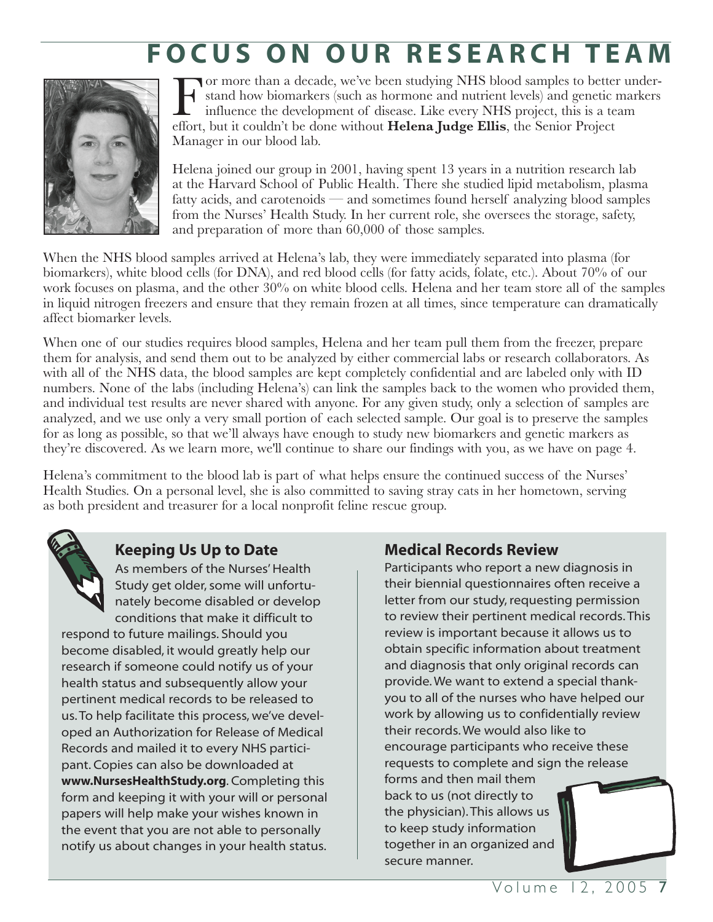# **FOCUS ON OUR RESEARCH TEAM**



For more than a decade, we've been studying NHS blood samples to better under-<br>stand how biomarkers (such as hormone and nutrient levels) and genetic markers<br>influence the development of disease. Like every NHS project, th stand how biomarkers (such as hormone and nutrient levels) and genetic markers influence the development of disease. Like every NHS project, this is a team effort, but it couldn't be done without **Helena Judge Ellis**, the Senior Project Manager in our blood lab.

Helena joined our group in 2001, having spent 13 years in a nutrition research lab at the Harvard School of Public Health. There she studied lipid metabolism, plasma fatty acids, and carotenoids — and sometimes found herself analyzing blood samples from the Nurses' Health Study. In her current role, she oversees the storage, safety, and preparation of more than 60,000 of those samples.

When the NHS blood samples arrived at Helena's lab, they were immediately separated into plasma (for biomarkers), white blood cells (for DNA), and red blood cells (for fatty acids, folate, etc.). About 70% of our work focuses on plasma, and the other 30% on white blood cells. Helena and her team store all of the samples in liquid nitrogen freezers and ensure that they remain frozen at all times, since temperature can dramatically affect biomarker levels.

When one of our studies requires blood samples, Helena and her team pull them from the freezer, prepare them for analysis, and send them out to be analyzed by either commercial labs or research collaborators. As with all of the NHS data, the blood samples are kept completely confidential and are labeled only with ID numbers. None of the labs (including Helena's) can link the samples back to the women who provided them, and individual test results are never shared with anyone. For any given study, only a selection of samples are analyzed, and we use only a very small portion of each selected sample. Our goal is to preserve the samples for as long as possible, so that we'll always have enough to study new biomarkers and genetic markers as they're discovered. As we learn more, we'll continue to share our findings with you, as we have on page 4.

Helena's commitment to the blood lab is part of what helps ensure the continued success of the Nurses' Health Studies. On a personal level, she is also committed to saving stray cats in her hometown, serving as both president and treasurer for a local nonprofit feline rescue group.

![](_page_6_Picture_7.jpeg)

## **Keeping Us Up to Date**

As members of the Nurses' Health Study get older, some will unfortunately become disabled or develop conditions that make it difficult to

respond to future mailings. Should you become disabled, it would greatly help our research if someone could notify us of your health status and subsequently allow your pertinent medical records to be released to us. To help facilitate this process, we've developed an Authorization for Release of Medical Records and mailed it to every NHS participant. Copies can also be downloaded at **www.NursesHealthStudy.org**. Completing this form and keeping it with your will or personal papers will help make your wishes known in the event that you are not able to personally notify us about changes in your health status.

## **Medical Records Review**

Participants who report a new diagnosis in their biennial questionnaires often receive a letter from our study, requesting permission to review their pertinent medical records. This review is important because it allows us to obtain specific information about treatment and diagnosis that only original records can provide. We want to extend a special thankyou to all of the nurses who have helped our work by allowing us to confidentially review their records. We would also like to encourage participants who receive these requests to complete and sign the release forms and then mail them back to us (not directly to

the physician). This allows us to keep study information together in an organized and secure manner.